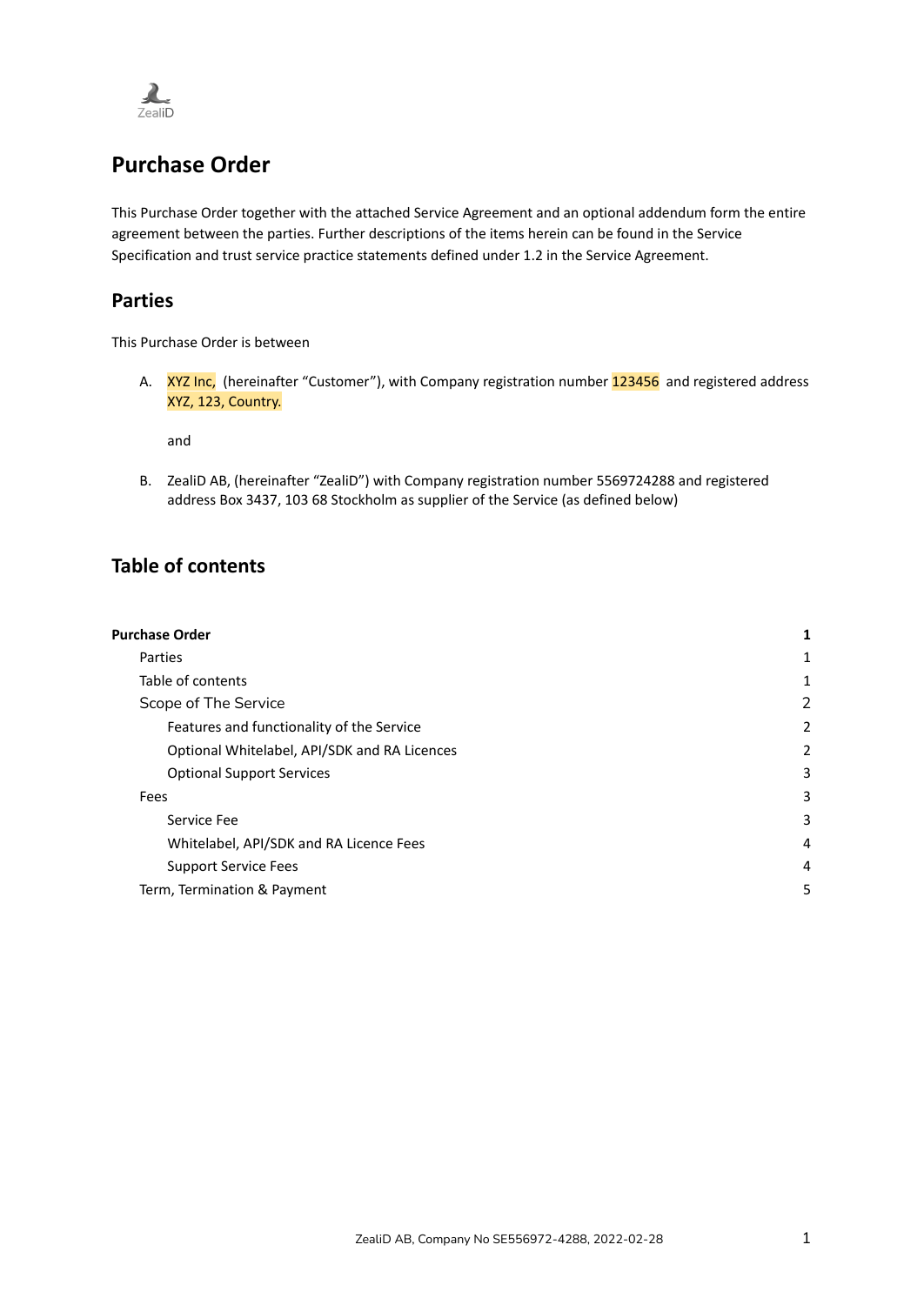

# <span id="page-0-0"></span>**Purchase Order**

This Purchase Order together with the attached Service Agreement and an optional addendum form the entire agreement between the parties. Further descriptions of the items herein can be found in the Service Specification and trust service practice statements defined under 1.2 in the Service Agreement.

#### <span id="page-0-1"></span>**Parties**

This Purchase Order is between

A. XYZ Inc, (hereinafter "Customer"), with Company registration number 123456 and registered address XYZ, 123, Country.

and

B. ZealiD AB, (hereinafter "ZealiD") with Company registration number 5569724288 and registered address Box 3437, 103 68 Stockholm as supplier of the Service (as defined below)

## <span id="page-0-2"></span>**Table of contents**

| <b>Purchase Order</b>                        | 1 |
|----------------------------------------------|---|
| Parties                                      | 1 |
| Table of contents                            | 1 |
| Scope of The Service                         | 2 |
| Features and functionality of the Service    | 2 |
| Optional Whitelabel, API/SDK and RA Licences | 2 |
| <b>Optional Support Services</b>             | 3 |
| Fees                                         | 3 |
| Service Fee                                  | 3 |
| Whitelabel, API/SDK and RA Licence Fees      | 4 |
| <b>Support Service Fees</b>                  | 4 |
| Term, Termination & Payment                  | 5 |
|                                              |   |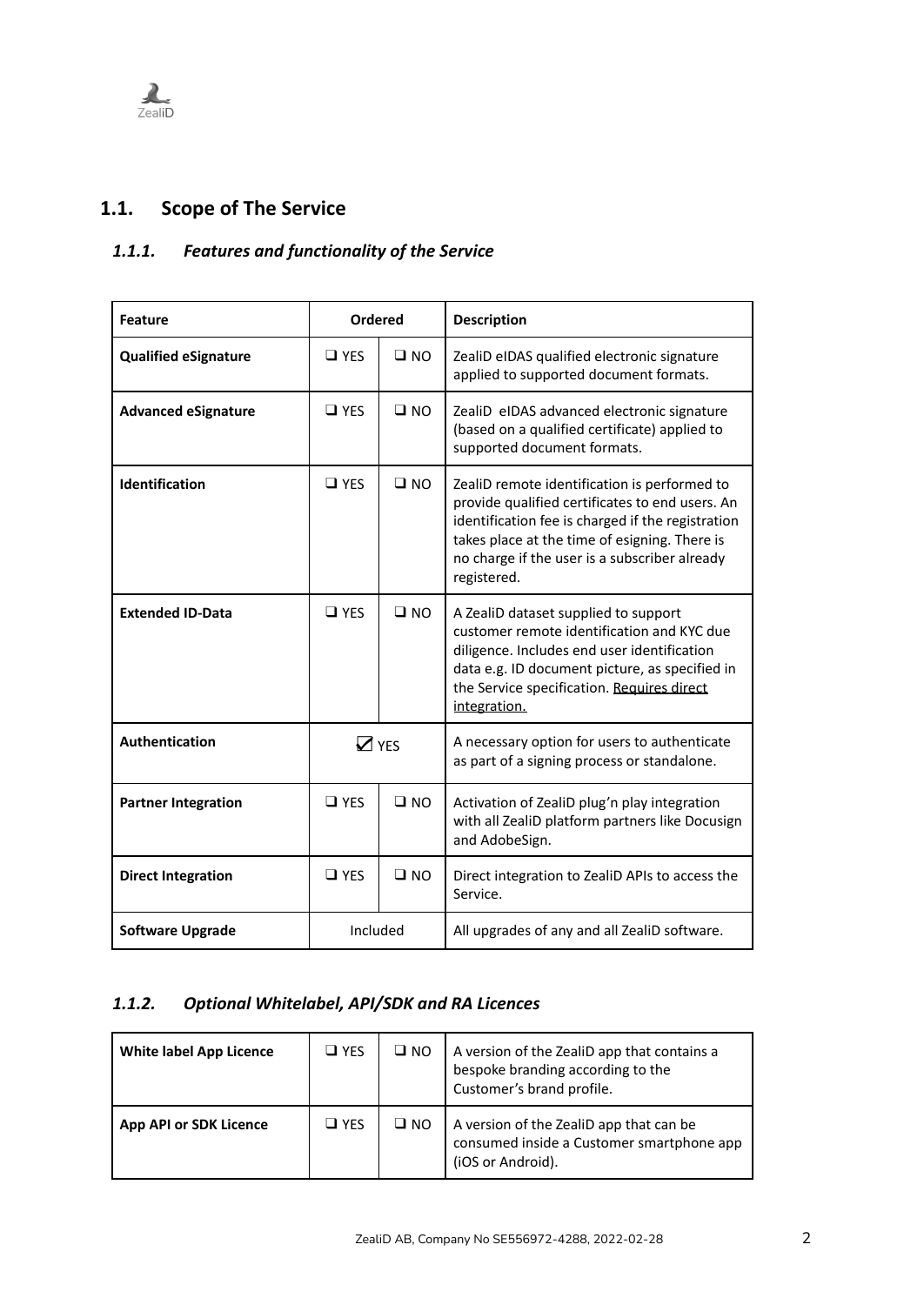

# <span id="page-1-0"></span>**1.1. Scope of The Service**

# <span id="page-1-1"></span>*1.1.1. Features and functionality of the Service*

| <b>Feature</b>              | <b>Ordered</b> |              | <b>Description</b>                                                                                                                                                                                                                                                    |
|-----------------------------|----------------|--------------|-----------------------------------------------------------------------------------------------------------------------------------------------------------------------------------------------------------------------------------------------------------------------|
| <b>Qualified eSignature</b> | $\Box$ YES     | $\square$ NO | ZealiD eIDAS qualified electronic signature<br>applied to supported document formats.                                                                                                                                                                                 |
| <b>Advanced eSignature</b>  | $\Box$ YES     | $\square$ NO | ZealiD eIDAS advanced electronic signature<br>(based on a qualified certificate) applied to<br>supported document formats.                                                                                                                                            |
| <b>Identification</b>       | $\Box$ YES     | $\square$ NO | ZealiD remote identification is performed to<br>provide qualified certificates to end users. An<br>identification fee is charged if the registration<br>takes place at the time of esigning. There is<br>no charge if the user is a subscriber already<br>registered. |
| <b>Extended ID-Data</b>     | $\Box$ YES     | $\square$ NO | A ZealiD dataset supplied to support<br>customer remote identification and KYC due<br>diligence. Includes end user identification<br>data e.g. ID document picture, as specified in<br>the Service specification. Requires direct<br>integration.                     |
| Authentication              | $\nabla$ YES   |              | A necessary option for users to authenticate<br>as part of a signing process or standalone.                                                                                                                                                                           |
| <b>Partner Integration</b>  | $\Box$ YES     | $\square$ NO | Activation of ZealiD plug'n play integration<br>with all ZealiD platform partners like Docusign<br>and AdobeSign.                                                                                                                                                     |
| <b>Direct Integration</b>   | $\Box$ YFS     | $\square$ NO | Direct integration to ZealiD APIs to access the<br>Service.                                                                                                                                                                                                           |
| <b>Software Upgrade</b>     | Included       |              | All upgrades of any and all ZealiD software.                                                                                                                                                                                                                          |

## <span id="page-1-2"></span>*1.1.2. Optional Whitelabel, API/SDK and RA Licences*

| <b>White label App Licence</b> | $\square$ YES | $\square$ NO | A version of the ZealiD app that contains a<br>bespoke branding according to the<br>Customer's brand profile. |
|--------------------------------|---------------|--------------|---------------------------------------------------------------------------------------------------------------|
| <b>App API or SDK Licence</b>  | $\square$ YES | $\square$ NO | A version of the ZealiD app that can be<br>consumed inside a Customer smartphone app<br>(iOS or Android).     |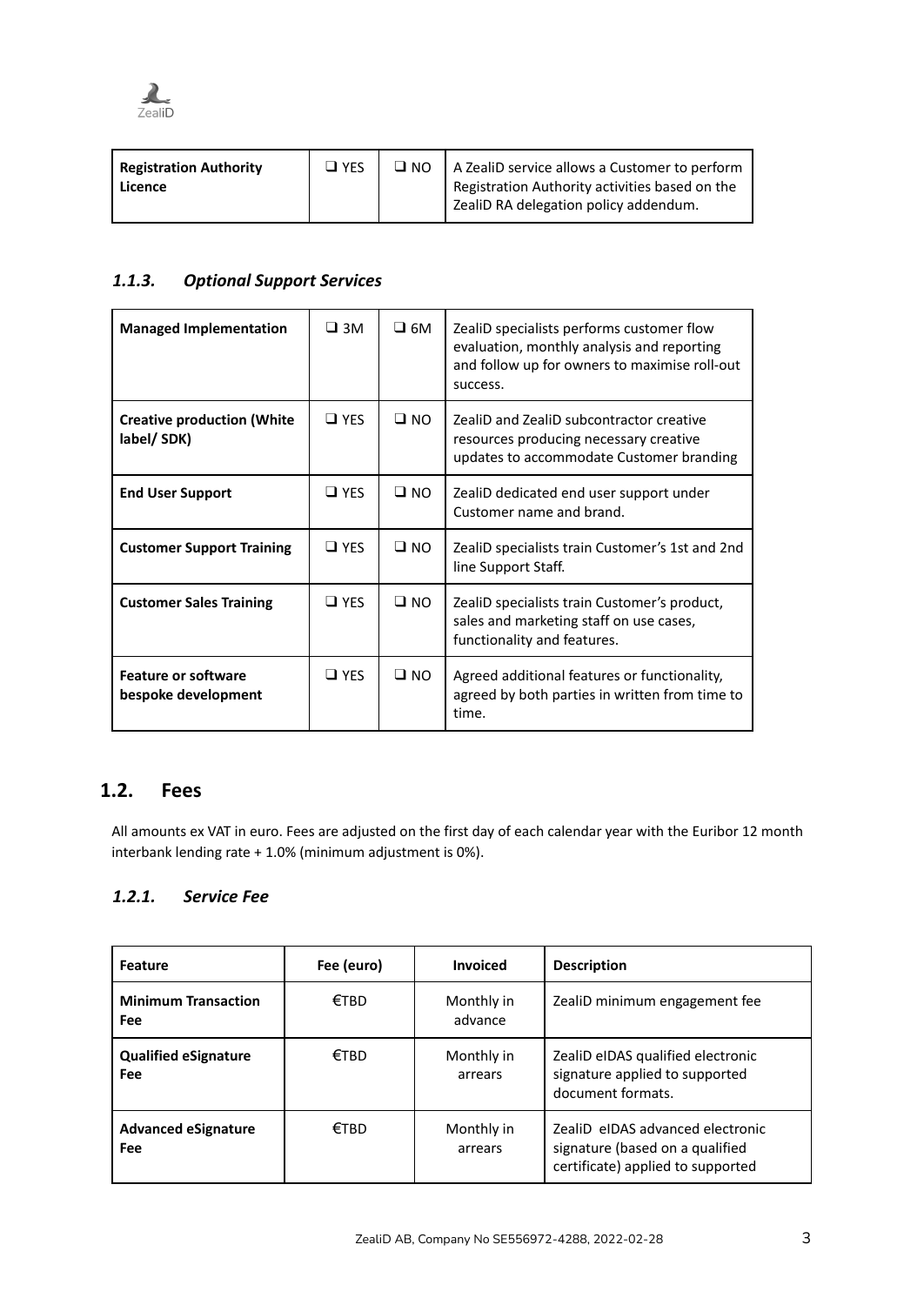

| Registration Authority<br>Licence | $\Box$ YFS | $\Box$ NO   A ZealiD service allows a Customer to perform<br>Registration Authority activities based on the<br>  ZealiD RA delegation policy addendum. |
|-----------------------------------|------------|--------------------------------------------------------------------------------------------------------------------------------------------------------|
|                                   |            |                                                                                                                                                        |

#### <span id="page-2-0"></span>*1.1.3. Optional Support Services*

| <b>Managed Implementation</b>                     | $\square$ 3M  | $\square$ 6M | ZealiD specialists performs customer flow<br>evaluation, monthly analysis and reporting<br>and follow up for owners to maximise roll-out<br>success. |
|---------------------------------------------------|---------------|--------------|------------------------------------------------------------------------------------------------------------------------------------------------------|
| <b>Creative production (White</b><br>label/ SDK)  | $\square$ YES | $\square$ NO | ZealiD and ZealiD subcontractor creative<br>resources producing necessary creative<br>updates to accommodate Customer branding                       |
| <b>End User Support</b>                           | $\square$ YES | $\square$ NO | ZealiD dedicated end user support under<br>Customer name and brand.                                                                                  |
| <b>Customer Support Training</b>                  | $\square$ YES | $\square$ NO | ZealiD specialists train Customer's 1st and 2nd<br>line Support Staff.                                                                               |
| <b>Customer Sales Training</b>                    | $\Box$ YFS    | $\square$ NO | ZealiD specialists train Customer's product,<br>sales and marketing staff on use cases,<br>functionality and features.                               |
| <b>Feature or software</b><br>bespoke development | $\square$ YES | $\Box$ NO    | Agreed additional features or functionality,<br>agreed by both parties in written from time to<br>time.                                              |

### <span id="page-2-1"></span>**1.2. Fees**

All amounts ex VAT in euro. Fees are adjusted on the first day of each calendar year with the Euribor 12 month interbank lending rate + 1.0% (minimum adjustment is 0%).

#### <span id="page-2-2"></span>*1.2.1. Service Fee*

| <b>Feature</b>                     | Fee (euro) | <b>Invoiced</b>       | <b>Description</b>                                                                                       |
|------------------------------------|------------|-----------------------|----------------------------------------------------------------------------------------------------------|
| <b>Minimum Transaction</b><br>Fee  | €TBD       | Monthly in<br>advance | ZealiD minimum engagement fee                                                                            |
| <b>Qualified eSignature</b><br>Fee | €TBD       | Monthly in<br>arrears | ZealiD eIDAS qualified electronic<br>signature applied to supported<br>document formats.                 |
| <b>Advanced eSignature</b><br>Fee  | €TBD       | Monthly in<br>arrears | ZealiD eIDAS advanced electronic<br>signature (based on a qualified<br>certificate) applied to supported |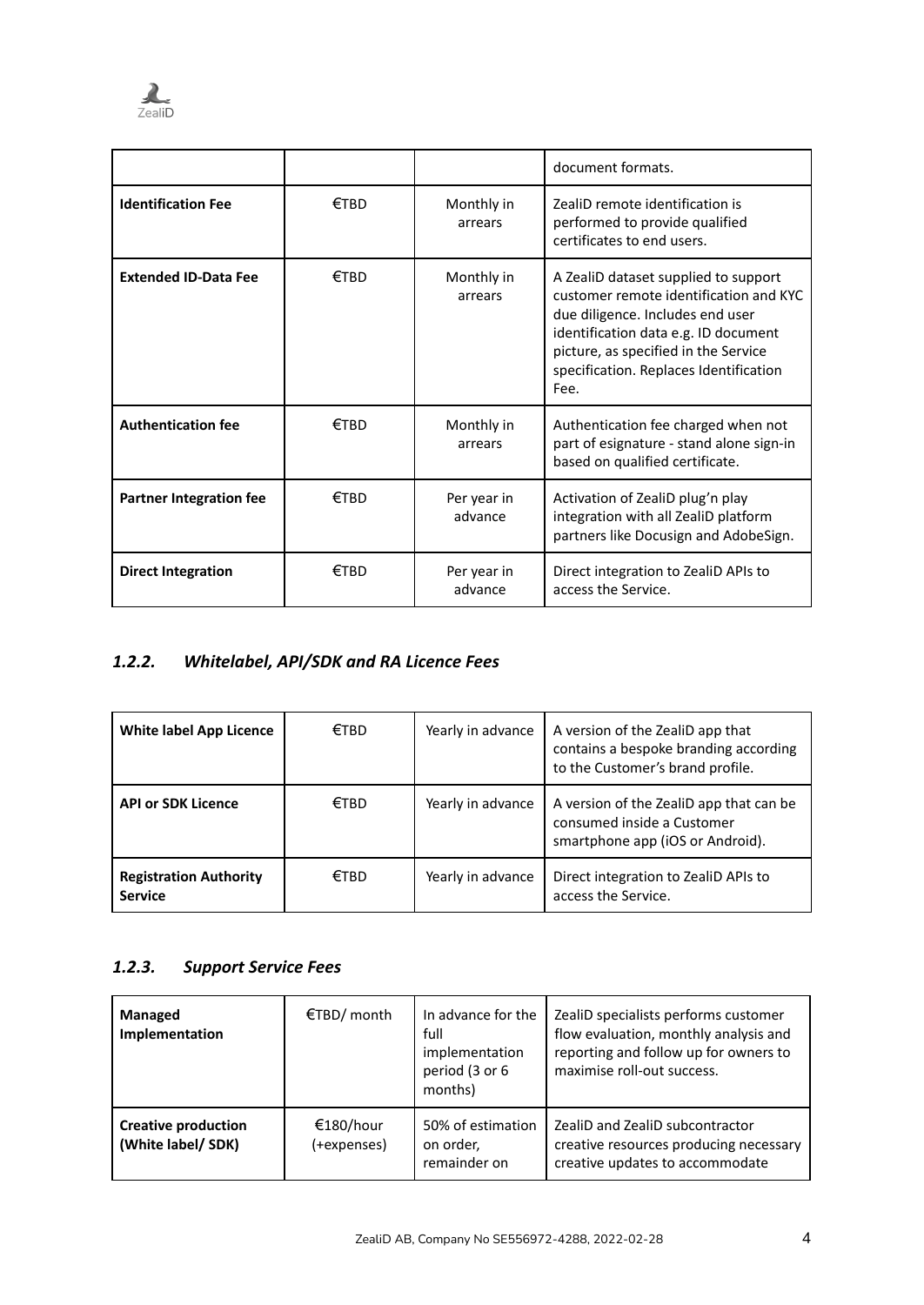

|                                |         |                        | document formats.                                                                                                                                                                                                                                    |
|--------------------------------|---------|------------------------|------------------------------------------------------------------------------------------------------------------------------------------------------------------------------------------------------------------------------------------------------|
| <b>Identification Fee</b>      | $E$ TRD | Monthly in<br>arrears  | ZealiD remote identification is<br>performed to provide qualified<br>certificates to end users.                                                                                                                                                      |
| <b>Extended ID-Data Fee</b>    | €TRD    | Monthly in<br>arrears  | A ZealiD dataset supplied to support<br>customer remote identification and KYC<br>due diligence. Includes end user<br>identification data e.g. ID document<br>picture, as specified in the Service<br>specification. Replaces Identification<br>Fee. |
| <b>Authentication fee</b>      | €TRD    | Monthly in<br>arrears  | Authentication fee charged when not<br>part of esignature - stand alone sign-in<br>based on qualified certificate.                                                                                                                                   |
| <b>Partner Integration fee</b> | €TRD    | Per year in<br>advance | Activation of ZealiD plug'n play<br>integration with all ZealiD platform<br>partners like Docusign and AdobeSign.                                                                                                                                    |
| <b>Direct Integration</b>      | €TBD    | Per year in<br>advance | Direct integration to ZealiD APIs to<br>access the Service.                                                                                                                                                                                          |

# <span id="page-3-0"></span>*1.2.2. Whitelabel, API/SDK and RA Licence Fees*

| White label App Licence                         | €TBD | Yearly in advance | A version of the ZealiD app that<br>contains a bespoke branding according<br>to the Customer's brand profile. |
|-------------------------------------------------|------|-------------------|---------------------------------------------------------------------------------------------------------------|
| <b>API or SDK Licence</b>                       | €TBD | Yearly in advance | A version of the ZealiD app that can be<br>consumed inside a Customer<br>smartphone app (iOS or Android).     |
| <b>Registration Authority</b><br><b>Service</b> | €TBD | Yearly in advance | Direct integration to ZealiD APIs to<br>access the Service.                                                   |

## <span id="page-3-1"></span>*1.2.3. Support Service Fees*

| Managed<br>Implementation                       | €TBD/ month              | In advance for the<br>full<br>implementation<br>period (3 or 6<br>months) | ZealiD specialists performs customer<br>flow evaluation, monthly analysis and<br>reporting and follow up for owners to<br>maximise roll-out success. |
|-------------------------------------------------|--------------------------|---------------------------------------------------------------------------|------------------------------------------------------------------------------------------------------------------------------------------------------|
| <b>Creative production</b><br>(White label/SDK) | €180/hour<br>(+expenses) | 50% of estimation<br>on order,<br>remainder on                            | ZealiD and ZealiD subcontractor<br>creative resources producing necessary<br>creative updates to accommodate                                         |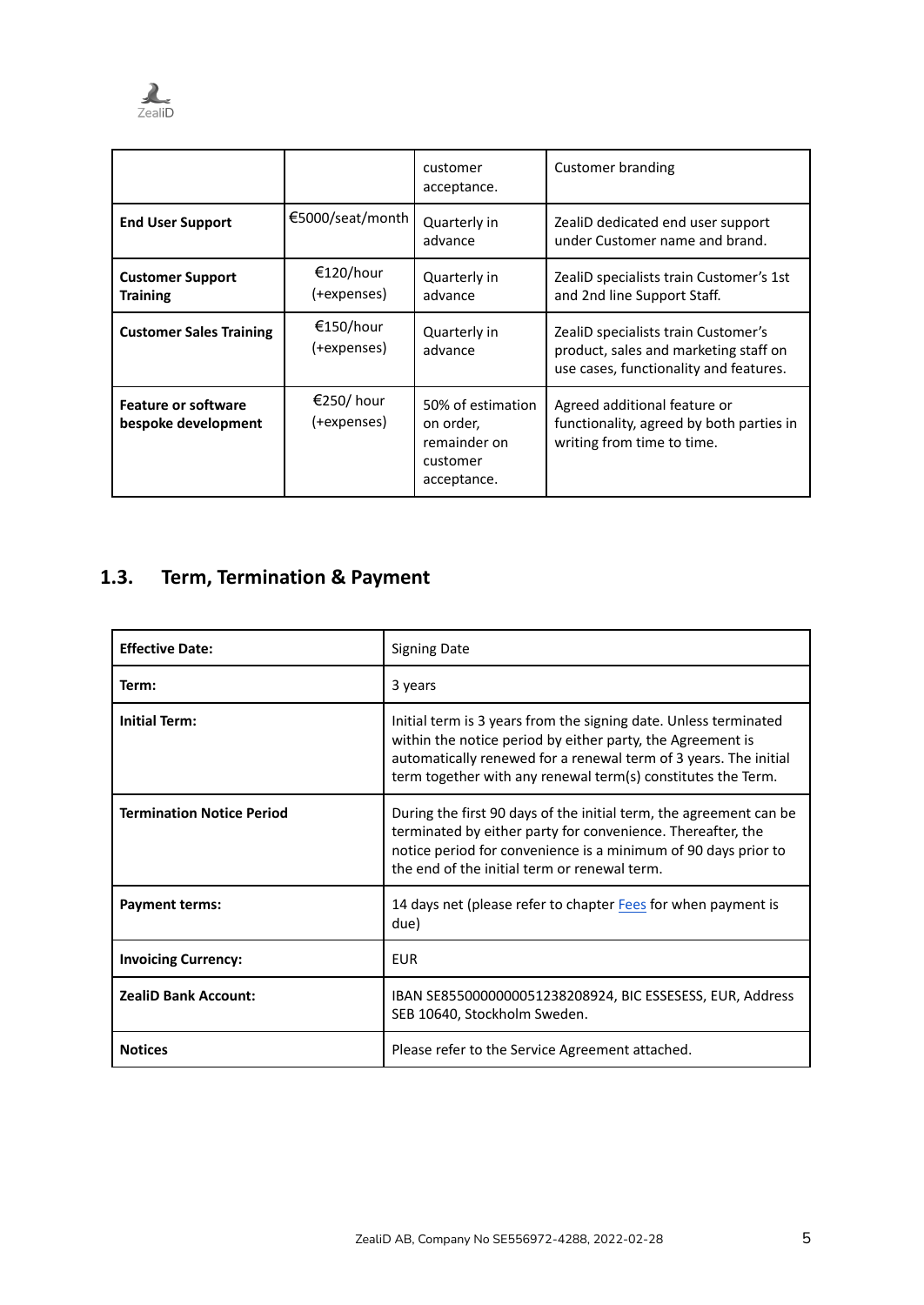

|                                                   |                           | customer<br>acceptance.                                                   | Customer branding                                                                                                      |
|---------------------------------------------------|---------------------------|---------------------------------------------------------------------------|------------------------------------------------------------------------------------------------------------------------|
| <b>End User Support</b>                           | €5000/seat/month          | Quarterly in<br>advance                                                   | ZealiD dedicated end user support<br>under Customer name and brand.                                                    |
| <b>Customer Support</b><br><b>Training</b>        | €120/hour<br>(+expenses)  | Quarterly in<br>advance                                                   | ZealiD specialists train Customer's 1st<br>and 2nd line Support Staff.                                                 |
| <b>Customer Sales Training</b>                    | €150/hour<br>(+expenses)  | Quarterly in<br>advance                                                   | ZealiD specialists train Customer's<br>product, sales and marketing staff on<br>use cases, functionality and features. |
| <b>Feature or software</b><br>bespoke development | €250/ hour<br>(+expenses) | 50% of estimation<br>on order,<br>remainder on<br>customer<br>acceptance. | Agreed additional feature or<br>functionality, agreed by both parties in<br>writing from time to time.                 |

# <span id="page-4-0"></span>**1.3. Term, Termination & Payment**

| <b>Effective Date:</b>           | <b>Signing Date</b>                                                                                                                                                                                                                                                |
|----------------------------------|--------------------------------------------------------------------------------------------------------------------------------------------------------------------------------------------------------------------------------------------------------------------|
| Term:                            | 3 years                                                                                                                                                                                                                                                            |
| <b>Initial Term:</b>             | Initial term is 3 years from the signing date. Unless terminated<br>within the notice period by either party, the Agreement is<br>automatically renewed for a renewal term of 3 years. The initial<br>term together with any renewal term(s) constitutes the Term. |
| <b>Termination Notice Period</b> | During the first 90 days of the initial term, the agreement can be<br>terminated by either party for convenience. Thereafter, the<br>notice period for convenience is a minimum of 90 days prior to<br>the end of the initial term or renewal term.                |
| <b>Payment terms:</b>            | 14 days net (please refer to chapter Fees for when payment is<br>due)                                                                                                                                                                                              |
| <b>Invoicing Currency:</b>       | <b>EUR</b>                                                                                                                                                                                                                                                         |
| <b>ZealiD Bank Account:</b>      | IBAN SE8550000000051238208924, BIC ESSESESS, EUR, Address<br>SEB 10640, Stockholm Sweden.                                                                                                                                                                          |
| <b>Notices</b>                   | Please refer to the Service Agreement attached.                                                                                                                                                                                                                    |